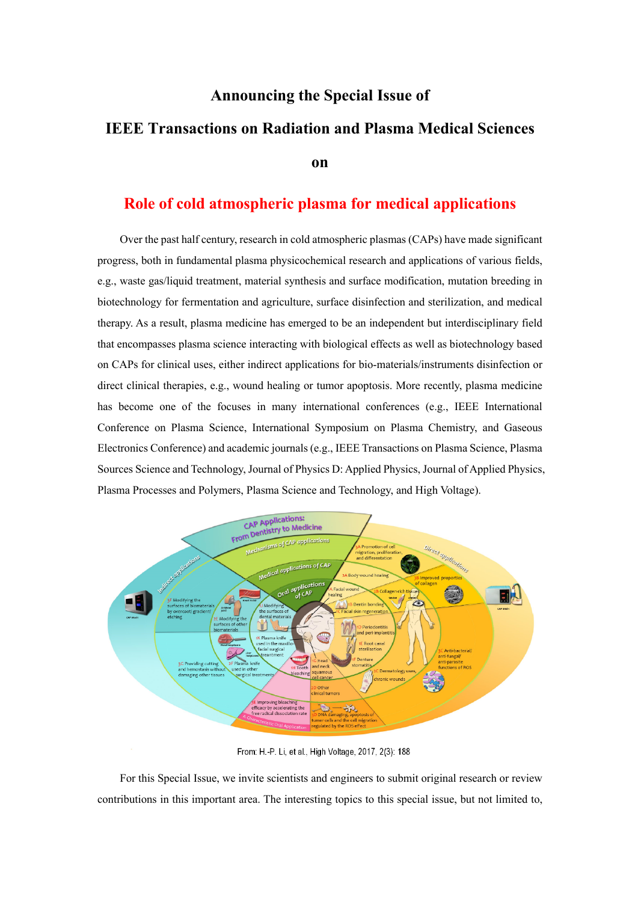## **Announcing the Special Issue of**

## **IEEE Transactions on Radiation and Plasma Medical Sciences**

**on**

## **Role of cold atmospheric plasma for medical applications**

Over the past half century, research in cold atmospheric plasmas (CAPs) have made significant progress, both in fundamental plasma physicochemical research and applications of various fields, e.g., waste gas/liquid treatment, material synthesis and surface modification, mutation breeding in biotechnology for fermentation and agriculture, surface disinfection and sterilization, and medical therapy. As a result, plasma medicine has emerged to be an independent but interdisciplinary field that encompasses plasma science interacting with biological effects as well as biotechnology based on CAPs for clinical uses, either indirect applications for bio-materials/instruments disinfection or direct clinical therapies, e.g., wound healing or tumor apoptosis. More recently, plasma medicine has become one of the focuses in many international conferences (e.g., IEEE International Conference on Plasma Science, International Symposium on Plasma Chemistry, and Gaseous Electronics Conference) and academic journals (e.g., IEEE Transactions on Plasma Science, Plasma Sources Science and Technology, Journal of Physics D: Applied Physics, Journal of Applied Physics, Plasma Processes and Polymers, Plasma Science and Technology, and High Voltage).



From: H.-P. Li, et al., High Voltage, 2017, 2(3): 188

For this Special Issue, we invite scientists and engineers to submit original research or review contributions in this important area. The interesting topics to this special issue, but not limited to,